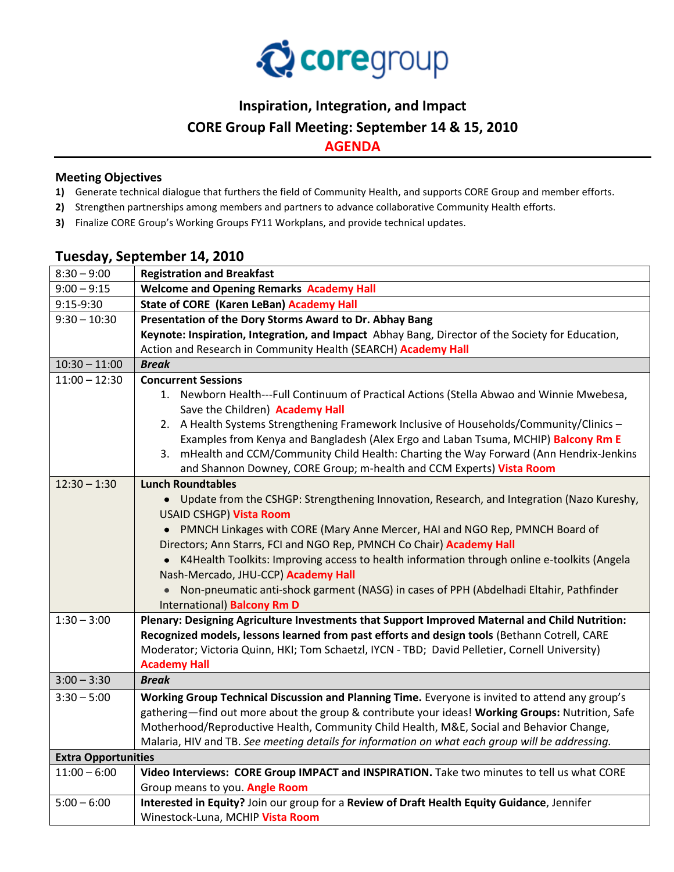

## **Inspiration, Integration, and Impact**

### **CORE Group Fall Meeting: September 14 & 15, 2010**

**AGENDA**

#### **Meeting Objectives**

- **1)** Generate technical dialogue that furthers the field of Community Health, and supports CORE Group and member efforts.
- **2)** Strengthen partnerships among members and partners to advance collaborative Community Health efforts.
- **3)** Finalize CORE Group's Working Groups FY11 Workplans, and provide technical updates.

## **Tuesday, September 14, 2010**

| $8:30 - 9:00$              | <b>Registration and Breakfast</b>                                                                                             |
|----------------------------|-------------------------------------------------------------------------------------------------------------------------------|
| $9:00 - 9:15$              | <b>Welcome and Opening Remarks Academy Hall</b>                                                                               |
| 9:15-9:30                  | <b>State of CORE (Karen LeBan) Academy Hall</b>                                                                               |
| $9:30 - 10:30$             | Presentation of the Dory Storms Award to Dr. Abhay Bang                                                                       |
|                            | Keynote: Inspiration, Integration, and Impact Abhay Bang, Director of the Society for Education,                              |
|                            | Action and Research in Community Health (SEARCH) Academy Hall                                                                 |
| $10:30 - 11:00$            | <b>Break</b>                                                                                                                  |
| $11:00 - 12:30$            | <b>Concurrent Sessions</b>                                                                                                    |
|                            | 1. Newborn Health---Full Continuum of Practical Actions (Stella Abwao and Winnie Mwebesa,<br>Save the Children) Academy Hall  |
|                            | 2. A Health Systems Strengthening Framework Inclusive of Households/Community/Clinics -                                       |
|                            | Examples from Kenya and Bangladesh (Alex Ergo and Laban Tsuma, MCHIP) Balcony Rm E                                            |
|                            | 3. mHealth and CCM/Community Child Health: Charting the Way Forward (Ann Hendrix-Jenkins                                      |
|                            | and Shannon Downey, CORE Group; m-health and CCM Experts) Vista Room                                                          |
| $12:30 - 1:30$             | <b>Lunch Roundtables</b>                                                                                                      |
|                            | • Update from the CSHGP: Strengthening Innovation, Research, and Integration (Nazo Kureshy,                                   |
|                            | USAID CSHGP) Vista Room                                                                                                       |
|                            | • PMNCH Linkages with CORE (Mary Anne Mercer, HAI and NGO Rep, PMNCH Board of                                                 |
|                            | Directors; Ann Starrs, FCI and NGO Rep, PMNCH Co Chair) Academy Hall                                                          |
|                            | K4Health Toolkits: Improving access to health information through online e-toolkits (Angela                                   |
|                            | Nash-Mercado, JHU-CCP) Academy Hall                                                                                           |
|                            | Non-pneumatic anti-shock garment (NASG) in cases of PPH (Abdelhadi Eltahir, Pathfinder                                        |
|                            | International) Balcony Rm D                                                                                                   |
| $1:30 - 3:00$              | Plenary: Designing Agriculture Investments that Support Improved Maternal and Child Nutrition:                                |
|                            | Recognized models, lessons learned from past efforts and design tools (Bethann Cotrell, CARE                                  |
|                            | Moderator; Victoria Quinn, HKI; Tom Schaetzl, IYCN - TBD; David Pelletier, Cornell University)                                |
|                            | <b>Academy Hall</b>                                                                                                           |
| $3:00 - 3:30$              | <b>Break</b>                                                                                                                  |
| $3:30 - 5:00$              | Working Group Technical Discussion and Planning Time. Everyone is invited to attend any group's                               |
|                            | gathering-find out more about the group & contribute your ideas! Working Groups: Nutrition, Safe                              |
|                            | Motherhood/Reproductive Health, Community Child Health, M&E, Social and Behavior Change,                                      |
|                            | Malaria, HIV and TB. See meeting details for information on what each group will be addressing.                               |
| <b>Extra Opportunities</b> |                                                                                                                               |
| $11:00 - 6:00$             | Video Interviews: CORE Group IMPACT and INSPIRATION. Take two minutes to tell us what CORE                                    |
| $5:00 - 6:00$              | Group means to you. Angle Room<br>Interested in Equity? Join our group for a Review of Draft Health Equity Guidance, Jennifer |
|                            | Winestock-Luna, MCHIP Vista Room                                                                                              |
|                            |                                                                                                                               |